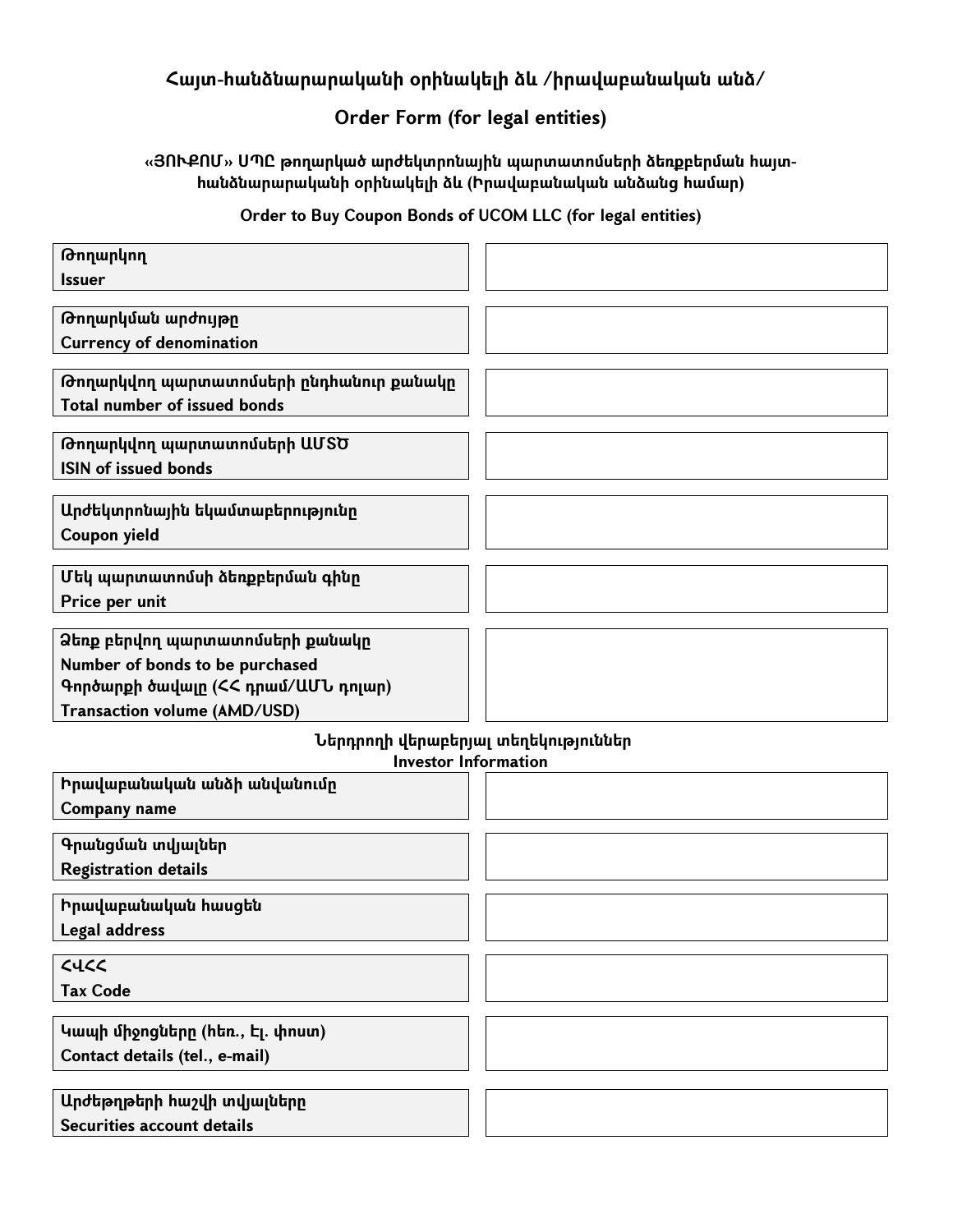# **Հայտ-հանձնարարականի օրինակելի ձև /իրավաբանական անձ/**

## **Order Form** (for legal entities)

### **«Յ Ո Ւ Ք Ո Մ » Ս Պ Ը թ ողարկած արժեկտրոնային պ արտատոմսերի ձեռքբերման հայտհանձնարարականի օրինակելի ձև (Ի րավաբանական անձանց համար)**

### **O rder to B uy C oupon B onds of U C O M LLC (for legalentities)**

| Թողարկող                                |  |
|-----------------------------------------|--|
| <b>Issuer</b>                           |  |
| Թողարկման արժույթը                      |  |
| <b>Currency of denomination</b>         |  |
|                                         |  |
| Թողարկվող պարտատոմսերի ընդհանուր քանակը |  |
| <b>Total number of issued bonds</b>     |  |
|                                         |  |
| Թողարկվող պարտատոմսերի ԱՄՏԾ             |  |
| <b>ISIN of issued bonds</b>             |  |
| Արժեկտրոնային եկամտաբերությունը         |  |
| Coupon yield                            |  |
|                                         |  |
| Մեկ պարտատոմսի ձեռքբերման գինը          |  |
| Price per unit                          |  |
|                                         |  |
| Ձեռք բերվող պարտատոմսերի քանակր         |  |
| Number of bonds to be purchased         |  |
| Գործարքի ծավալը (ՀՀ դրամ/ԱՄՆ դոլար)     |  |
| <b>Transaction volume (AMD/USD)</b>     |  |
| Ներդրողի վերաբերյալ տեղեկություններ     |  |
| <b>Investor Information</b>             |  |
| Իրավաբանական անձի անվանումը             |  |
| Company name                            |  |
|                                         |  |
| Գրանցման տվյալներ                       |  |
| <b>Registration details</b>             |  |
| Իրավաբանական հասցեն                     |  |
| Legal address                           |  |
|                                         |  |
| C                                       |  |
| <b>Tax Code</b>                         |  |
|                                         |  |
| Կապի միջոցները (հեռ., Էլ. փոստ)         |  |
| Contact details (tel., e-mail)          |  |
|                                         |  |
| Արժեթղթերի հաշվի տվյալները              |  |
| <b>Securities account details</b>       |  |